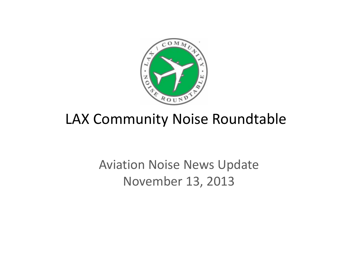

# LAX Community Noise Roundtable

# Aviation Noise News Update November 13, 2013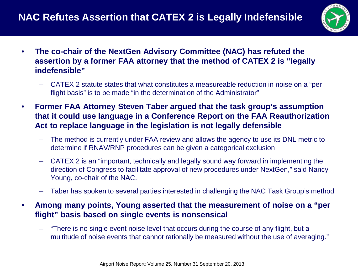

- **The co-chair of the NextGen Advisory Committee (NAC) has refuted the assertion by a former FAA attorney that the method of CATEX 2 is "legally indefensible"**
	- CATEX 2 statute states that what constitutes a measureable reduction in noise on a "per flight basis" is to be made "in the determination of the Administrator"
- **Former FAA Attorney Steven Taber argued that the task group's assumption that it could use language in a Conference Report on the FAA Reauthorization Act to replace language in the legislation is not legally defensible**
	- The method is currently under FAA review and allows the agency to use its DNL metric to determine if RNAV/RNP procedures can be given a categorical exclusion
	- CATEX 2 is an "important, technically and legally sound way forward in implementing the direction of Congress to facilitate approval of new procedures under NextGen," said Nancy Young, co-chair of the NAC.
	- Taber has spoken to several parties interested in challenging the NAC Task Group's method
- **Among many points, Young asserted that the measurement of noise on a "per flight" basis based on single events is nonsensical** 
	- "There is no single event noise level that occurs during the course of any flight, but a multitude of noise events that cannot rationally be measured without the use of averaging."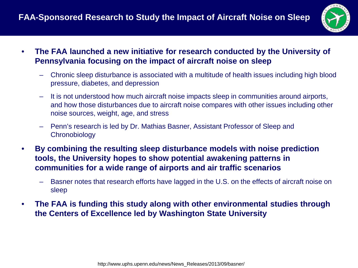

- **The FAA launched a new initiative for research conducted by the University of Pennsylvania focusing on the impact of aircraft noise on sleep**
	- Chronic sleep disturbance is associated with a multitude of health issues including high blood pressure, diabetes, and depression
	- It is not understood how much aircraft noise impacts sleep in communities around airports, and how those disturbances due to aircraft noise compares with other issues including other noise sources, weight, age, and stress
	- Penn's research is led by Dr. Mathias Basner, Assistant Professor of Sleep and **Chronobiology**
- **By combining the resulting sleep disturbance models with noise prediction tools, the University hopes to show potential awakening patterns in communities for a wide range of airports and air traffic scenarios**
	- Basner notes that research efforts have lagged in the U.S. on the effects of aircraft noise on sleep
- **The FAA is funding this study along with other environmental studies through the Centers of Excellence led by Washington State University**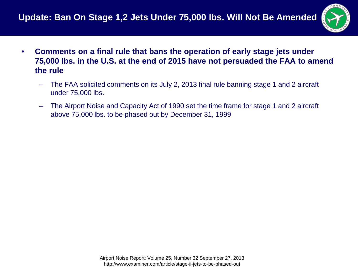

- **Comments on a final rule that bans the operation of early stage jets under 75,000 lbs. in the U.S. at the end of 2015 have not persuaded the FAA to amend the rule**
	- The FAA solicited comments on its July 2, 2013 final rule banning stage 1 and 2 aircraft under 75,000 lbs.
	- The Airport Noise and Capacity Act of 1990 set the time frame for stage 1 and 2 aircraft above 75,000 lbs. to be phased out by December 31, 1999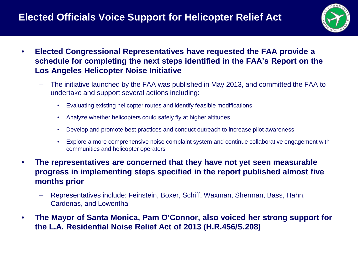### **Elected Officials Voice Support for Helicopter Relief Act**



- **Elected Congressional Representatives have requested the FAA provide a schedule for completing the next steps identified in the FAA's Report on the Los Angeles Helicopter Noise Initiative**
	- The initiative launched by the FAA was published in May 2013, and committed the FAA to undertake and support several actions including:
		- Evaluating existing helicopter routes and identify feasible modifications
		- Analyze whether helicopters could safely fly at higher altitudes
		- Develop and promote best practices and conduct outreach to increase pilot awareness
		- Explore a more comprehensive noise complaint system and continue collaborative engagement with communities and helicopter operators
- **The representatives are concerned that they have not yet seen measurable progress in implementing steps specified in the report published almost five months prior**
	- Representatives include: Feinstein, Boxer, Schiff, Waxman, Sherman, Bass, Hahn, Cardenas, and Lowenthal
- **The Mayor of Santa Monica, Pam O'Connor, also voiced her strong support for the L.A. Residential Noise Relief Act of 2013 (H.R.456/S.208)**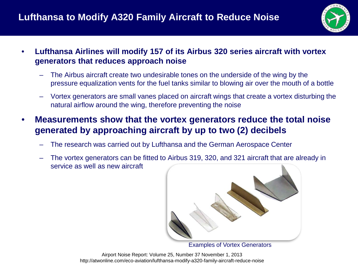

- **Lufthansa Airlines will modify 157 of its Airbus 320 series aircraft with vortex generators that reduces approach noise**
	- The Airbus aircraft create two undesirable tones on the underside of the wing by the pressure equalization vents for the fuel tanks similar to blowing air over the mouth of a bottle
	- Vortex generators are small vanes placed on aircraft wings that create a vortex disturbing the natural airflow around the wing, therefore preventing the noise
- **Measurements show that the vortex generators reduce the total noise generated by approaching aircraft by up to two (2) decibels**
	- The research was carried out by Lufthansa and the German Aerospace Center
	- The vortex generators can be fitted to Airbus 319, 320, and 321 aircraft that are already in service as well as new aircraft



Examples of Vortex Generators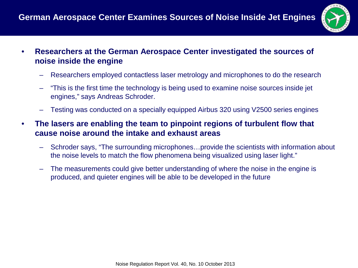

- **Researchers at the German Aerospace Center investigated the sources of noise inside the engine**
	- Researchers employed contactless laser metrology and microphones to do the research
	- "This is the first time the technology is being used to examine noise sources inside jet engines," says Andreas Schroder.
	- Testing was conducted on a specially equipped Airbus 320 using V2500 series engines
- **The lasers are enabling the team to pinpoint regions of turbulent flow that cause noise around the intake and exhaust areas**
	- Schroder says, "The surrounding microphones…provide the scientists with information about the noise levels to match the flow phenomena being visualized using laser light."
	- The measurements could give better understanding of where the noise in the engine is produced, and quieter engines will be able to be developed in the future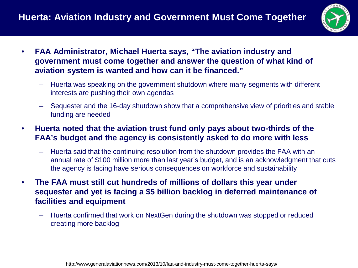

- **FAA Administrator, Michael Huerta says, "The aviation industry and government must come together and answer the question of what kind of aviation system is wanted and how can it be financed."**
	- Huerta was speaking on the government shutdown where many segments with different interests are pushing their own agendas
	- Sequester and the 16-day shutdown show that a comprehensive view of priorities and stable funding are needed
- **Huerta noted that the aviation trust fund only pays about two-thirds of the FAA's budget and the agency is consistently asked to do more with less**
	- Huerta said that the continuing resolution from the shutdown provides the FAA with an annual rate of \$100 million more than last year's budget, and is an acknowledgment that cuts the agency is facing have serious consequences on workforce and sustainability
- **The FAA must still cut hundreds of millions of dollars this year under sequester and yet is facing a \$5 billion backlog in deferred maintenance of facilities and equipment**
	- Huerta confirmed that work on NextGen during the shutdown was stopped or reduced creating more backlog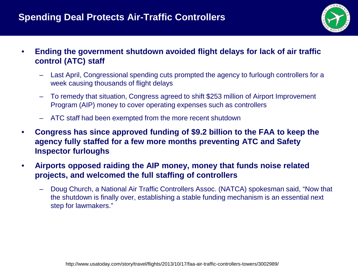#### **Spending Deal Protects Air-Traffic Controllers**



- **Ending the government shutdown avoided flight delays for lack of air traffic control (ATC) staff**
	- Last April, Congressional spending cuts prompted the agency to furlough controllers for a week causing thousands of flight delays
	- To remedy that situation, Congress agreed to shift \$253 million of Airport Improvement Program (AIP) money to cover operating expenses such as controllers
	- ATC staff had been exempted from the more recent shutdown
- **Congress has since approved funding of \$9.2 billion to the FAA to keep the agency fully staffed for a few more months preventing ATC and Safety Inspector furloughs**
- **Airports opposed raiding the AIP money, money that funds noise related projects, and welcomed the full staffing of controllers**
	- Doug Church, a National Air Traffic Controllers Assoc. (NATCA) spokesman said, "Now that the shutdown is finally over, establishing a stable funding mechanism is an essential next step for lawmakers."